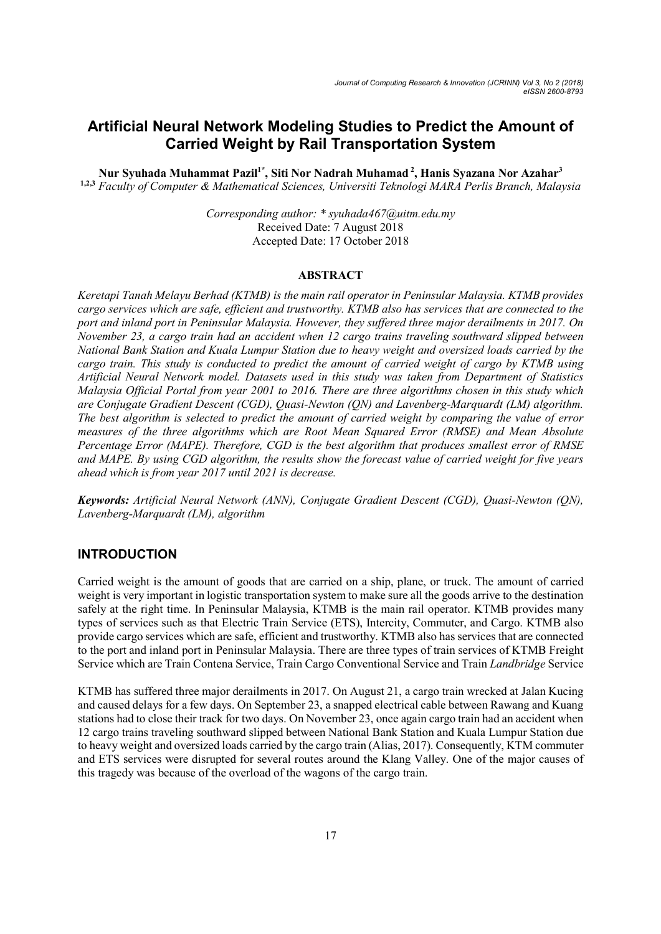# Artificial Neural Network Modeling Studies to Predict the Amount of Carried Weight by Rail Transportation System

Nur Syuhada Muhammat Pazil<sup>1\*</sup>, Siti Nor Nadrah Muhamad<sup>2</sup>, Hanis Syazana Nor Azahar<sup>3</sup> 1,2,3 Faculty of Computer & Mathematical Sciences, Universiti Teknologi MARA Perlis Branch, Malaysia

> Corresponding author: \* syuhada467@uitm.edu.my Received Date: 7 August 2018 Accepted Date: 17 October 2018

### ABSTRACT

Keretapi Tanah Melayu Berhad (KTMB) is the main rail operator in Peninsular Malaysia. KTMB provides cargo services which are safe, efficient and trustworthy. KTMB also has services that are connected to the port and inland port in Peninsular Malaysia. However, they suffered three major derailments in 2017. On November 23, a cargo train had an accident when 12 cargo trains traveling southward slipped between National Bank Station and Kuala Lumpur Station due to heavy weight and oversized loads carried by the cargo train. This study is conducted to predict the amount of carried weight of cargo by KTMB using Artificial Neural Network model. Datasets used in this study was taken from Department of Statistics Malaysia Official Portal from year 2001 to 2016. There are three algorithms chosen in this study which are Conjugate Gradient Descent (CGD), Quasi-Newton (QN) and Lavenberg-Marquardt (LM) algorithm. The best algorithm is selected to predict the amount of carried weight by comparing the value of error measures of the three algorithms which are Root Mean Squared Error (RMSE) and Mean Absolute Percentage Error (MAPE). Therefore, CGD is the best algorithm that produces smallest error of RMSE and MAPE. By using CGD algorithm, the results show the forecast value of carried weight for five years ahead which is from year 2017 until 2021 is decrease.

Keywords: Artificial Neural Network (ANN), Conjugate Gradient Descent (CGD), Quasi-Newton (QN), Lavenberg-Marquardt (LM), algorithm

### INTRODUCTION

Carried weight is the amount of goods that are carried on a ship, plane, or truck. The amount of carried weight is very important in logistic transportation system to make sure all the goods arrive to the destination safely at the right time. In Peninsular Malaysia, KTMB is the main rail operator. KTMB provides many types of services such as that Electric Train Service (ETS), Intercity, Commuter, and Cargo. KTMB also provide cargo services which are safe, efficient and trustworthy. KTMB also has services that are connected to the port and inland port in Peninsular Malaysia. There are three types of train services of KTMB Freight Service which are Train Contena Service, Train Cargo Conventional Service and Train Landbridge Service

KTMB has suffered three major derailments in 2017. On August 21, a cargo train wrecked at Jalan Kucing and caused delays for a few days. On September 23, a snapped electrical cable between Rawang and Kuang stations had to close their track for two days. On November 23, once again cargo train had an accident when 12 cargo trains traveling southward slipped between National Bank Station and Kuala Lumpur Station due to heavy weight and oversized loads carried by the cargo train (Alias, 2017). Consequently, KTM commuter and ETS services were disrupted for several routes around the Klang Valley. One of the major causes of this tragedy was because of the overload of the wagons of the cargo train.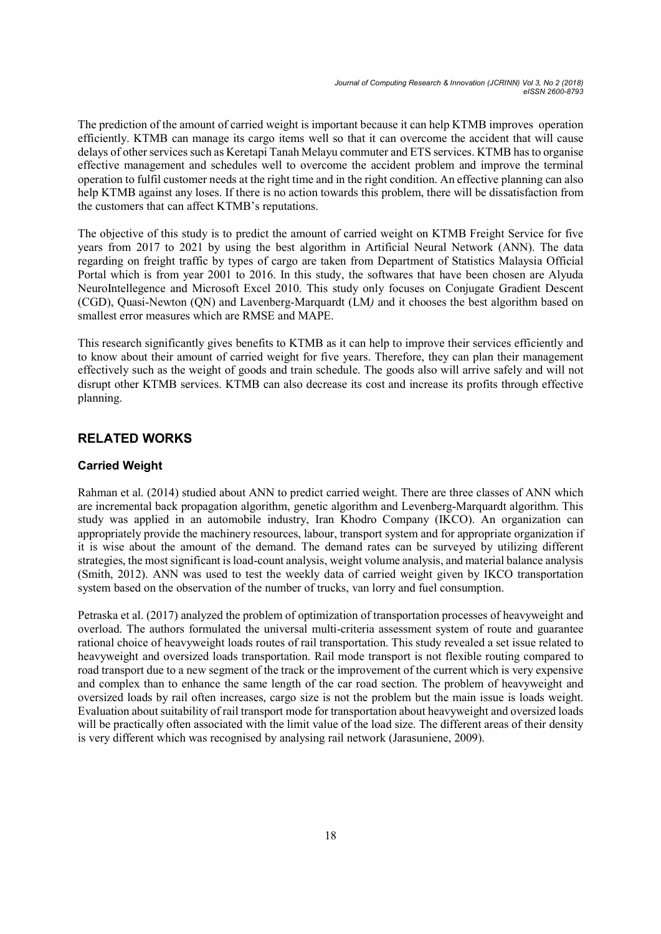The prediction of the amount of carried weight is important because it can help KTMB improves operation efficiently. KTMB can manage its cargo items well so that it can overcome the accident that will cause delays of other services such as Keretapi Tanah Melayu commuter and ETS services. KTMB has to organise effective management and schedules well to overcome the accident problem and improve the terminal operation to fulfil customer needs at the right time and in the right condition. An effective planning can also help KTMB against any loses. If there is no action towards this problem, there will be dissatisfaction from the customers that can affect KTMB's reputations.

The objective of this study is to predict the amount of carried weight on KTMB Freight Service for five years from 2017 to 2021 by using the best algorithm in Artificial Neural Network (ANN). The data regarding on freight traffic by types of cargo are taken from Department of Statistics Malaysia Official Portal which is from year 2001 to 2016. In this study, the softwares that have been chosen are Alyuda NeuroIntellegence and Microsoft Excel 2010. This study only focuses on Conjugate Gradient Descent (CGD), Quasi-Newton (QN) and Lavenberg-Marquardt (LM) and it chooses the best algorithm based on smallest error measures which are RMSE and MAPE.

This research significantly gives benefits to KTMB as it can help to improve their services efficiently and to know about their amount of carried weight for five years. Therefore, they can plan their management effectively such as the weight of goods and train schedule. The goods also will arrive safely and will not disrupt other KTMB services. KTMB can also decrease its cost and increase its profits through effective planning.

# RELATED WORKS

## Carried Weight

Rahman et al. (2014) studied about ANN to predict carried weight. There are three classes of ANN which are incremental back propagation algorithm, genetic algorithm and Levenberg-Marquardt algorithm. This study was applied in an automobile industry, Iran Khodro Company (IKCO). An organization can appropriately provide the machinery resources, labour, transport system and for appropriate organization if it is wise about the amount of the demand. The demand rates can be surveyed by utilizing different strategies, the most significant is load-count analysis, weight volume analysis, and material balance analysis (Smith, 2012). ANN was used to test the weekly data of carried weight given by IKCO transportation system based on the observation of the number of trucks, van lorry and fuel consumption.

Petraska et al. (2017) analyzed the problem of optimization of transportation processes of heavyweight and overload. The authors formulated the universal multi-criteria assessment system of route and guarantee rational choice of heavyweight loads routes of rail transportation. This study revealed a set issue related to heavyweight and oversized loads transportation. Rail mode transport is not flexible routing compared to road transport due to a new segment of the track or the improvement of the current which is very expensive and complex than to enhance the same length of the car road section. The problem of heavyweight and oversized loads by rail often increases, cargo size is not the problem but the main issue is loads weight. Evaluation about suitability of rail transport mode for transportation about heavyweight and oversized loads will be practically often associated with the limit value of the load size. The different areas of their density is very different which was recognised by analysing rail network (Jarasuniene, 2009).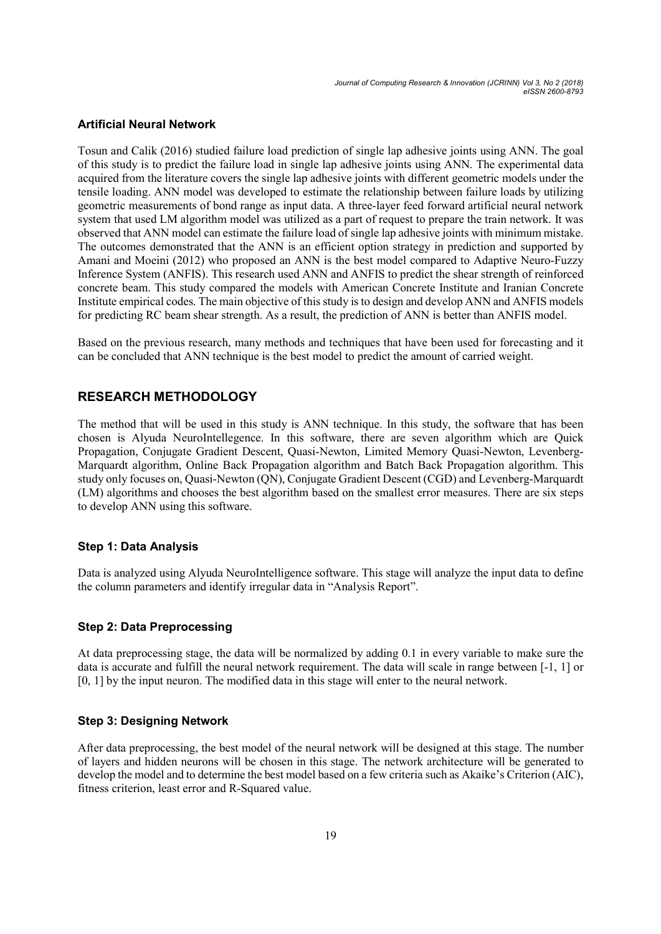Journal of Computing Research & Innovation (JCRINN) Vol 3, No 2 (2018) eISSN 2600-8793

#### Artificial Neural Network

Tosun and Calik (2016) studied failure load prediction of single lap adhesive joints using ANN. The goal of this study is to predict the failure load in single lap adhesive joints using ANN. The experimental data acquired from the literature covers the single lap adhesive joints with different geometric models under the tensile loading. ANN model was developed to estimate the relationship between failure loads by utilizing geometric measurements of bond range as input data. A three-layer feed forward artificial neural network system that used LM algorithm model was utilized as a part of request to prepare the train network. It was observed that ANN model can estimate the failure load of single lap adhesive joints with minimum mistake. The outcomes demonstrated that the ANN is an efficient option strategy in prediction and supported by Amani and Moeini (2012) who proposed an ANN is the best model compared to Adaptive Neuro-Fuzzy Inference System (ANFIS). This research used ANN and ANFIS to predict the shear strength of reinforced concrete beam. This study compared the models with American Concrete Institute and Iranian Concrete Institute empirical codes. The main objective of this study is to design and develop ANN and ANFIS models for predicting RC beam shear strength. As a result, the prediction of ANN is better than ANFIS model.

Based on the previous research, many methods and techniques that have been used for forecasting and it can be concluded that ANN technique is the best model to predict the amount of carried weight.

# RESEARCH METHODOLOGY

The method that will be used in this study is ANN technique. In this study, the software that has been chosen is Alyuda NeuroIntellegence. In this software, there are seven algorithm which are Quick Propagation, Conjugate Gradient Descent, Quasi-Newton, Limited Memory Quasi-Newton, Levenberg-Marquardt algorithm, Online Back Propagation algorithm and Batch Back Propagation algorithm. This study only focuses on, Quasi-Newton (QN), Conjugate Gradient Descent (CGD) and Levenberg-Marquardt (LM) algorithms and chooses the best algorithm based on the smallest error measures. There are six steps to develop ANN using this software.

#### Step 1: Data Analysis

Data is analyzed using Alyuda NeuroIntelligence software. This stage will analyze the input data to define the column parameters and identify irregular data in "Analysis Report".

#### Step 2: Data Preprocessing

At data preprocessing stage, the data will be normalized by adding 0.1 in every variable to make sure the data is accurate and fulfill the neural network requirement. The data will scale in range between [-1, 1] or [0, 1] by the input neuron. The modified data in this stage will enter to the neural network.

#### Step 3: Designing Network

After data preprocessing, the best model of the neural network will be designed at this stage. The number of layers and hidden neurons will be chosen in this stage. The network architecture will be generated to develop the model and to determine the best model based on a few criteria such as Akaike's Criterion (AIC), fitness criterion, least error and R-Squared value.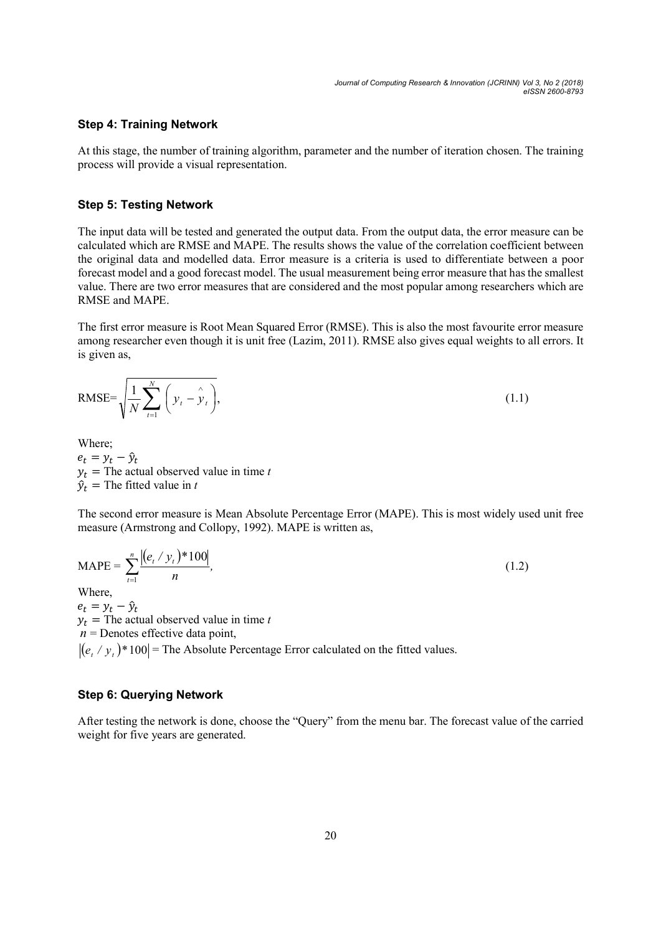#### Step 4: Training Network

At this stage, the number of training algorithm, parameter and the number of iteration chosen. The training process will provide a visual representation.

#### Step 5: Testing Network

The input data will be tested and generated the output data. From the output data, the error measure can be calculated which are RMSE and MAPE. The results shows the value of the correlation coefficient between the original data and modelled data. Error measure is a criteria is used to differentiate between a poor forecast model and a good forecast model. The usual measurement being error measure that has the smallest value. There are two error measures that are considered and the most popular among researchers which are RMSE and MAPE.

The first error measure is Root Mean Squared Error (RMSE). This is also the most favourite error measure among researcher even though it is unit free (Lazim, 2011). RMSE also gives equal weights to all errors. It is given as,

RMSE=
$$
\sqrt{\frac{1}{N}\sum_{t=1}^{N} (y_t - y_t)},
$$
 (1.1)

Where;

 $e_t = y_t - \hat{y}_t$  $y_t$  = The actual observed value in time t  $\hat{v}_t$  = The fitted value in t

The second error measure is Mean Absolute Percentage Error (MAPE). This is most widely used unit free measure (Armstrong and Collopy, 1992). MAPE is written as,

$$
MAPE = \sum_{t=1}^{n} \frac{|(e_t / y_t)^* 100|}{n},
$$
\n<sup>(1.2)</sup>

Where,

 $e_t = y_t - \hat{y}_t$  $y_t$  = The actual observed value in time t  $n =$  Denotes effective data point,  $| (e, / y, ) \cdot | = 100 |$  The Absolute Percentage Error calculated on the fitted values.

#### Step 6: Querying Network

After testing the network is done, choose the "Query" from the menu bar. The forecast value of the carried weight for five years are generated.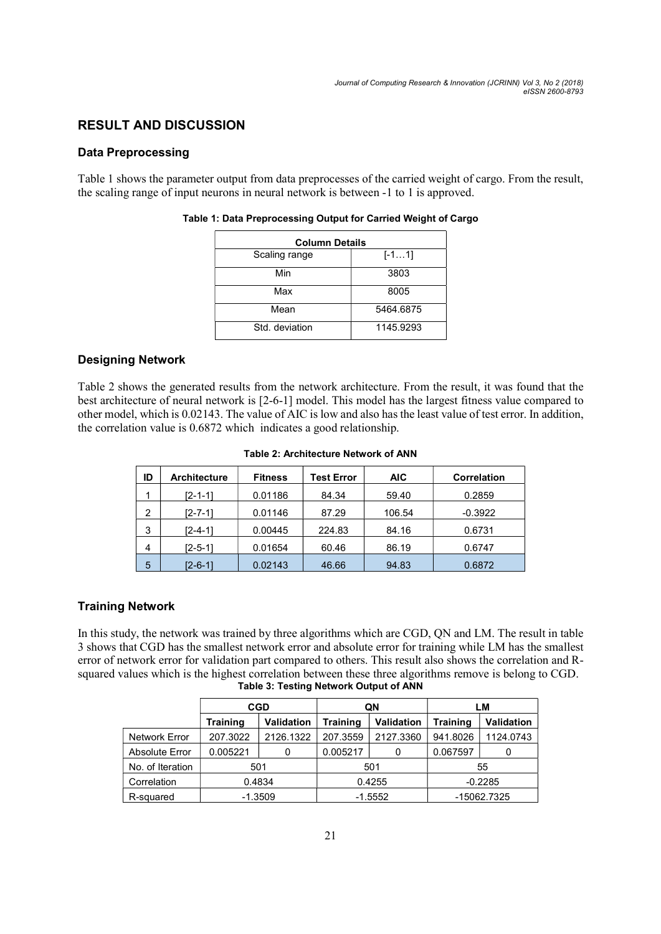# RESULT AND DISCUSSION

### Data Preprocessing

Table 1 shows the parameter output from data preprocesses of the carried weight of cargo. From the result, the scaling range of input neurons in neural network is between -1 to 1 is approved.

| <b>Column Details</b> |           |  |  |
|-----------------------|-----------|--|--|
| Scaling range         | $[-11]$   |  |  |
| Min                   | 3803      |  |  |
| Max                   | 8005      |  |  |
| Mean                  | 5464.6875 |  |  |
| Std. deviation        | 1145.9293 |  |  |

#### Table 1: Data Preprocessing Output for Carried Weight of Cargo

## Designing Network

Table 2 shows the generated results from the network architecture. From the result, it was found that the best architecture of neural network is [2-6-1] model. This model has the largest fitness value compared to other model, which is 0.02143. The value of AIC is low and also has the least value of test error. In addition, the correlation value is 0.6872 which indicates a good relationship.

| Table 2: Architecture Network of ANN |  |
|--------------------------------------|--|
|--------------------------------------|--|

| ID | <b>Architecture</b> | <b>Fitness</b> | Test Error | <b>AIC</b> | <b>Correlation</b> |
|----|---------------------|----------------|------------|------------|--------------------|
| 1  | [2-1-1]             | 0.01186        | 84.34      | 59.40      | 0.2859             |
| 2  | $[2 - 7 - 1]$       | 0.01146        | 87.29      | 106.54     | $-0.3922$          |
| 3  | $[2 - 4 - 1]$       | 0.00445        | 224.83     | 84.16      | 0.6731             |
| 4  | I2-5-11             | 0.01654        | 60.46      | 86.19      | 0.6747             |
| 5  | I2-6-11             | 0.02143        | 46.66      | 94.83      | 0.6872             |

### Training Network

In this study, the network was trained by three algorithms which are CGD, QN and LM. The result in table 3 shows that CGD has the smallest network error and absolute error for training while LM has the smallest error of network error for validation part compared to others. This result also shows the correlation and Rsquared values which is the highest correlation between these three algorithms remove is belong to CGD. Table 3: Testing Network Output of ANN

|                  | <b>CGD</b>      |                   | QN              |                   | LМ          |            |
|------------------|-----------------|-------------------|-----------------|-------------------|-------------|------------|
|                  | <b>Training</b> | <b>Validation</b> | <b>Training</b> | <b>Validation</b> | Training    | Validation |
| Network Error    | 207.3022        | 2126.1322         | 207.3559        | 2127.3360         | 941.8026    | 1124.0743  |
| Absolute Error   | 0.005221        |                   | 0.005217        |                   | 0.067597    |            |
| No. of Iteration | 501             |                   | 501             |                   | 55          |            |
| Correlation      | 0.4834          |                   | 0.4255          |                   | $-0.2285$   |            |
| R-squared        | $-1.3509$       |                   | $-1.5552$       |                   | -15062.7325 |            |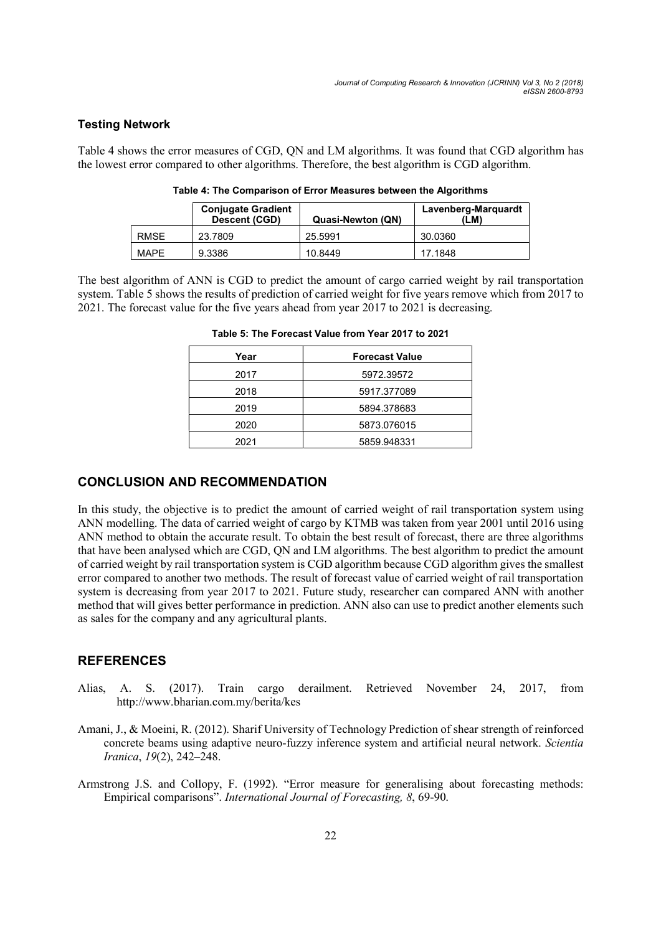### Testing Network

Table 4 shows the error measures of CGD, QN and LM algorithms. It was found that CGD algorithm has the lowest error compared to other algorithms. Therefore, the best algorithm is CGD algorithm.

|             | <b>Conjugate Gradient</b><br>Descent (CGD) | Quasi-Newton (QN) | Lavenberg-Marguardt<br>(LM) |
|-------------|--------------------------------------------|-------------------|-----------------------------|
| <b>RMSE</b> | 23.7809                                    | 25.5991           | 30.0360                     |
| <b>MAPE</b> | 9.3386                                     | 10.8449           | 17.1848                     |

Table 4: The Comparison of Error Measures between the Algorithms

The best algorithm of ANN is CGD to predict the amount of cargo carried weight by rail transportation system. Table 5 shows the results of prediction of carried weight for five years remove which from 2017 to 2021. The forecast value for the five years ahead from year 2017 to 2021 is decreasing.

| Year | <b>Forecast Value</b> |
|------|-----------------------|
| 2017 | 5972.39572            |
| 2018 | 5917.377089           |
| 2019 | 5894.378683           |
| 2020 | 5873.076015           |
| 2021 | 5859.948331           |

Table 5: The Forecast Value from Year 2017 to 2021

### CONCLUSION AND RECOMMENDATION

In this study, the objective is to predict the amount of carried weight of rail transportation system using ANN modelling. The data of carried weight of cargo by KTMB was taken from year 2001 until 2016 using ANN method to obtain the accurate result. To obtain the best result of forecast, there are three algorithms that have been analysed which are CGD, QN and LM algorithms. The best algorithm to predict the amount of carried weight by rail transportation system is CGD algorithm because CGD algorithm gives the smallest error compared to another two methods. The result of forecast value of carried weight of rail transportation system is decreasing from year 2017 to 2021. Future study, researcher can compared ANN with another method that will gives better performance in prediction. ANN also can use to predict another elements such as sales for the company and any agricultural plants.

# **REFERENCES**

- Alias, A. S. (2017). Train cargo derailment. Retrieved November 24, 2017, from http://www.bharian.com.my/berita/kes
- Amani, J., & Moeini, R. (2012). Sharif University of Technology Prediction of shear strength of reinforced concrete beams using adaptive neuro-fuzzy inference system and artificial neural network. Scientia Iranica, 19(2), 242–248.
- Armstrong J.S. and Collopy, F. (1992). "Error measure for generalising about forecasting methods: Empirical comparisons". International Journal of Forecasting, 8, 69-90.